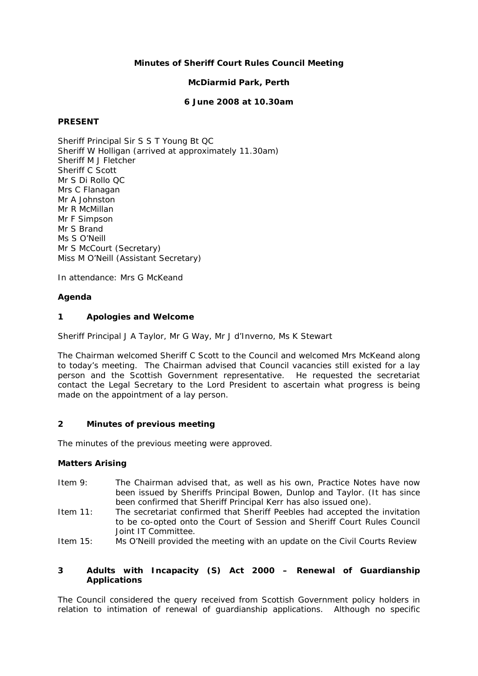## **Minutes of Sheriff Court Rules Council Meeting**

## **McDiarmid Park, Perth**

### **6 June 2008 at 10.30am**

### **PRESENT**

Sheriff Principal Sir S S T Young Bt QC Sheriff W Holligan (arrived at approximately 11.30am) Sheriff M J Fletcher Sheriff C Scott Mr S Di Rollo QC Mrs C Flanagan Mr A Johnston Mr R McMillan Mr F Simpson Mr S Brand Ms S O'Neill Mr S McCourt (Secretary) Miss M O'Neill (Assistant Secretary)

In attendance: Mrs G McKeand

## **Agenda**

## **1 Apologies and Welcome**

Sheriff Principal J A Taylor, Mr G Way, Mr J d'Inverno, Ms K Stewart

The Chairman welcomed Sheriff C Scott to the Council and welcomed Mrs McKeand along to today's meeting. The Chairman advised that Council vacancies still existed for a lay person and the Scottish Government representative. He requested the secretariat contact the Legal Secretary to the Lord President to ascertain what progress is being made on the appointment of a lay person.

## **2 Minutes of previous meeting**

The minutes of the previous meeting were approved.

## **Matters Arising**

- Item 9: The Chairman advised that, as well as his own, Practice Notes have now been issued by Sheriffs Principal Bowen, Dunlop and Taylor. (It has since been confirmed that Sheriff Principal Kerr has also issued one).
- Item 11: The secretariat confirmed that Sheriff Peebles had accepted the invitation to be co-opted onto the Court of Session and Sheriff Court Rules Council Joint IT Committee.
- Item 15: Ms O'Neill provided the meeting with an update on the Civil Courts Review

## **3 Adults with Incapacity (S) Act 2000 – Renewal of Guardianship Applications**

The Council considered the query received from Scottish Government policy holders in relation to intimation of renewal of guardianship applications. Although no specific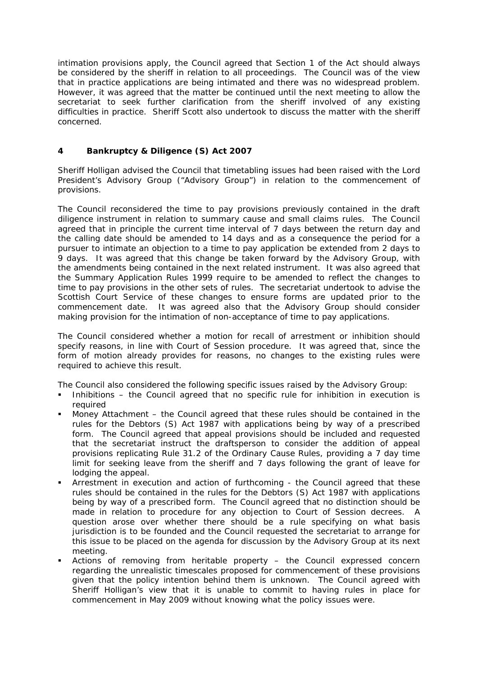intimation provisions apply, the Council agreed that Section 1 of the Act should always be considered by the sheriff in relation to all proceedings. The Council was of the view that in practice applications are being intimated and there was no widespread problem. However, it was agreed that the matter be continued until the next meeting to allow the secretariat to seek further clarification from the sheriff involved of any existing difficulties in practice. Sheriff Scott also undertook to discuss the matter with the sheriff concerned.

## **4 Bankruptcy & Diligence (S) Act 2007**

Sheriff Holligan advised the Council that timetabling issues had been raised with the Lord President's Advisory Group ("Advisory Group") in relation to the commencement of provisions.

The Council reconsidered the time to pay provisions previously contained in the draft diligence instrument in relation to summary cause and small claims rules. The Council agreed that in principle the current time interval of 7 days between the return day and the calling date should be amended to 14 days and as a consequence the period for a pursuer to intimate an objection to a time to pay application be extended from 2 days to 9 days. It was agreed that this change be taken forward by the Advisory Group, with the amendments being contained in the next related instrument. It was also agreed that the Summary Application Rules 1999 require to be amended to reflect the changes to time to pay provisions in the other sets of rules. The secretariat undertook to advise the Scottish Court Service of these changes to ensure forms are updated prior to the commencement date. It was agreed also that the Advisory Group should consider making provision for the intimation of non-acceptance of time to pay applications.

The Council considered whether a motion for recall of arrestment or inhibition should specify reasons, in line with Court of Session procedure. It was agreed that, since the form of motion already provides for reasons, no changes to the existing rules were required to achieve this result.

The Council also considered the following specific issues raised by the Advisory Group:

- Inhibitions the Council agreed that no specific rule for inhibition in execution is required
- Money Attachment the Council agreed that these rules should be contained in the rules for the Debtors (S) Act 1987 with applications being by way of a prescribed form. The Council agreed that appeal provisions should be included and requested that the secretariat instruct the draftsperson to consider the addition of appeal provisions replicating Rule 31.2 of the Ordinary Cause Rules, providing a 7 day time limit for seeking leave from the sheriff and 7 days following the grant of leave for lodging the appeal.
- Arrestment in execution and action of furthcoming the Council agreed that these rules should be contained in the rules for the Debtors (S) Act 1987 with applications being by way of a prescribed form. The Council agreed that no distinction should be made in relation to procedure for any objection to Court of Session decrees. A question arose over whether there should be a rule specifying on what basis jurisdiction is to be founded and the Council requested the secretariat to arrange for this issue to be placed on the agenda for discussion by the Advisory Group at its next meeting.
- Actions of removing from heritable property the Council expressed concern regarding the unrealistic timescales proposed for commencement of these provisions given that the policy intention behind them is unknown. The Council agreed with Sheriff Holligan's view that it is unable to commit to having rules in place for commencement in May 2009 without knowing what the policy issues were.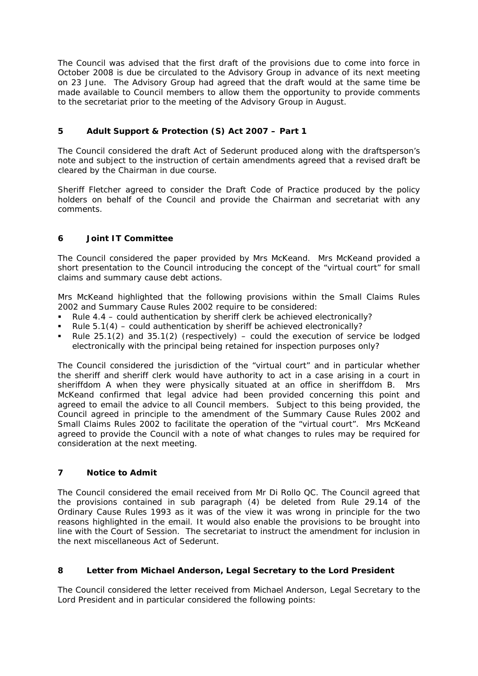The Council was advised that the first draft of the provisions due to come into force in October 2008 is due be circulated to the Advisory Group in advance of its next meeting on 23 June. The Advisory Group had agreed that the draft would at the same time be made available to Council members to allow them the opportunity to provide comments to the secretariat prior to the meeting of the Advisory Group in August.

# **5 Adult Support & Protection (S) Act 2007 – Part 1**

The Council considered the draft Act of Sederunt produced along with the draftsperson's note and subject to the instruction of certain amendments agreed that a revised draft be cleared by the Chairman in due course.

Sheriff Fletcher agreed to consider the Draft Code of Practice produced by the policy holders on behalf of the Council and provide the Chairman and secretariat with any comments.

# **6 Joint IT Committee**

The Council considered the paper provided by Mrs McKeand. Mrs McKeand provided a short presentation to the Council introducing the concept of the "virtual court" for small claims and summary cause debt actions.

Mrs McKeand highlighted that the following provisions within the Small Claims Rules 2002 and Summary Cause Rules 2002 require to be considered:

- Rule 4.4 could authentication by sheriff clerk be achieved electronically?
- Rule 5.1(4) could authentication by sheriff be achieved electronically?
- Rule  $25.1(2)$  and  $35.1(2)$  (respectively) could the execution of service be lodged electronically with the principal being retained for inspection purposes only?

The Council considered the jurisdiction of the "virtual court" and in particular whether the sheriff and sheriff clerk would have authority to act in a case arising in a court in sheriffdom A when they were physically situated at an office in sheriffdom B. Mrs McKeand confirmed that legal advice had been provided concerning this point and agreed to email the advice to all Council members. Subject to this being provided, the Council agreed in principle to the amendment of the Summary Cause Rules 2002 and Small Claims Rules 2002 to facilitate the operation of the "virtual court". Mrs McKeand agreed to provide the Council with a note of what changes to rules may be required for consideration at the next meeting.

## **7 Notice to Admit**

The Council considered the email received from Mr Di Rollo QC. The Council agreed that the provisions contained in sub paragraph (4) be deleted from Rule 29.14 of the Ordinary Cause Rules 1993 as it was of the view it was wrong in principle for the two reasons highlighted in the email. It would also enable the provisions to be brought into line with the Court of Session. The secretariat to instruct the amendment for inclusion in the next miscellaneous Act of Sederunt.

## **8 Letter from Michael Anderson, Legal Secretary to the Lord President**

The Council considered the letter received from Michael Anderson, Legal Secretary to the Lord President and in particular considered the following points: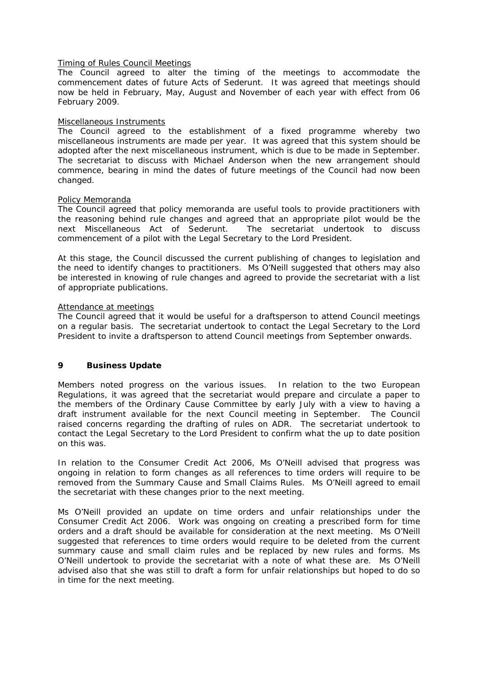#### Timing of Rules Council Meetings

The Council agreed to alter the timing of the meetings to accommodate the commencement dates of future Acts of Sederunt. It was agreed that meetings should now be held in February, May, August and November of each year with effect from 06 February 2009.

### Miscellaneous Instruments

The Council agreed to the establishment of a fixed programme whereby two miscellaneous instruments are made per year. It was agreed that this system should be adopted after the next miscellaneous instrument, which is due to be made in September. The secretariat to discuss with Michael Anderson when the new arrangement should commence, bearing in mind the dates of future meetings of the Council had now been changed.

### Policy Memoranda

The Council agreed that policy memoranda are useful tools to provide practitioners with the reasoning behind rule changes and agreed that an appropriate pilot would be the next Miscellaneous Act of Sederunt. The secretariat undertook to discuss commencement of a pilot with the Legal Secretary to the Lord President.

At this stage, the Council discussed the current publishing of changes to legislation and the need to identify changes to practitioners. Ms O'Neill suggested that others may also be interested in knowing of rule changes and agreed to provide the secretariat with a list of appropriate publications.

### Attendance at meetings

The Council agreed that it would be useful for a draftsperson to attend Council meetings on a regular basis. The secretariat undertook to contact the Legal Secretary to the Lord President to invite a draftsperson to attend Council meetings from September onwards.

## **9 Business Update**

Members noted progress on the various issues. In relation to the two European Regulations, it was agreed that the secretariat would prepare and circulate a paper to the members of the Ordinary Cause Committee by early July with a view to having a draft instrument available for the next Council meeting in September. The Council raised concerns regarding the drafting of rules on ADR. The secretariat undertook to contact the Legal Secretary to the Lord President to confirm what the up to date position on this was.

In relation to the Consumer Credit Act 2006, Ms O'Neill advised that progress was ongoing in relation to form changes as all references to time orders will require to be removed from the Summary Cause and Small Claims Rules. Ms O'Neill agreed to email the secretariat with these changes prior to the next meeting.

Ms O'Neill provided an update on time orders and unfair relationships under the Consumer Credit Act 2006. Work was ongoing on creating a prescribed form for time orders and a draft should be available for consideration at the next meeting. Ms O'Neill suggested that references to time orders would require to be deleted from the current summary cause and small claim rules and be replaced by new rules and forms. Ms O'Neill undertook to provide the secretariat with a note of what these are. Ms O'Neill advised also that she was still to draft a form for unfair relationships but hoped to do so in time for the next meeting.